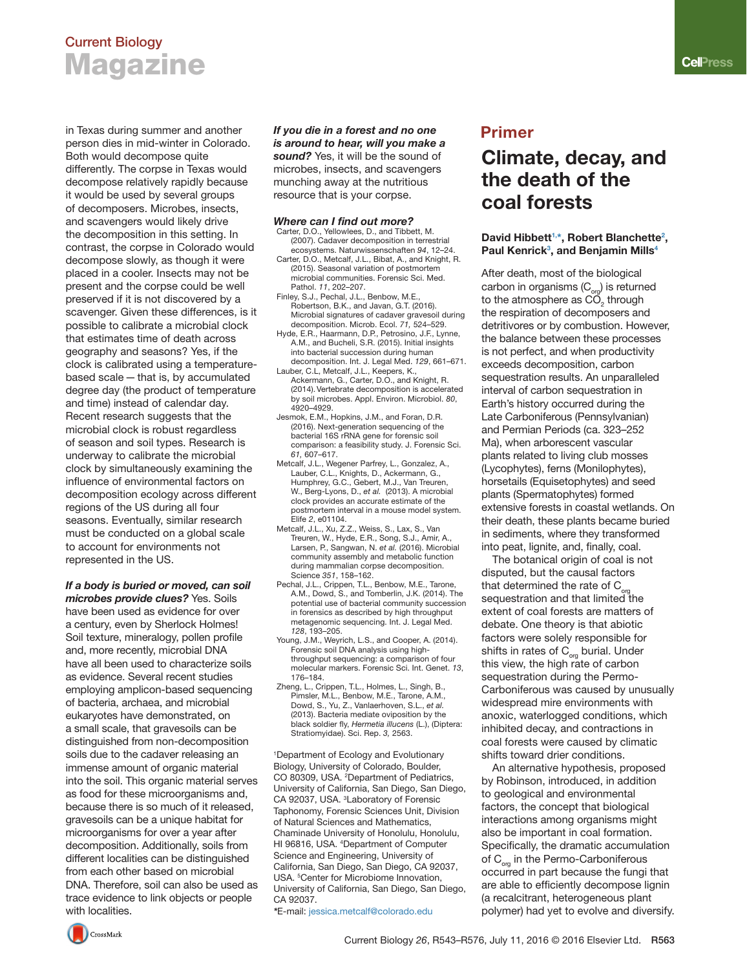in Texas during summer and another person dies in mid-winter in Colorado. Both would decompose quite differently. The corpse in Texas would decompose relatively rapidly because it would be used by several groups of decomposers. Microbes, insects, and scavengers would likely drive the decomposition in this setting. In contrast, the corpse in Colorado would decompose slowly, as though it were placed in a cooler. Insects may not be present and the corpse could be well preserved if it is not discovered by a scavenger. Given these differences, is it possible to calibrate a microbial clock that estimates time of death across geography and seasons? Yes, if the clock is calibrated using a temperaturebased scale — that is, by accumulated degree day (the product of temperature and time) instead of calendar day. Recent research suggests that the microbial clock is robust regardless of season and soil types. Research is underway to calibrate the microbial clock by simultaneously examining the influence of environmental factors on decomposition ecology across different regions of the US during all four seasons. Eventually, similar research must be conducted on a global scale to account for environments not represented in the US.

*If a body is buried or moved, can soil microbes provide clues?* Yes. Soils have been used as evidence for over a century, even by Sherlock Holmes! Soil texture, mineralogy, pollen profile and, more recently, microbial DNA have all been used to characterize soils as evidence. Several recent studies employing amplicon-based sequencing of bacteria, archaea, and microbial eukaryotes have demonstrated, on a small scale, that gravesoils can be distinguished from non-decomposition soils due to the cadaver releasing an immense amount of organic material into the soil. This organic material serves as food for these microorganisms and, because there is so much of it released, gravesoils can be a unique habitat for microorganisms for over a year after decomposition. Additionally, soils from different localities can be distinguished from each other based on microbial DNA. Therefore, soil can also be used as trace evidence to link objects or people with localities.

*If you die in a forest and no one is around to hear, will you make a sound?* Yes, it will be the sound of microbes, insects, and scavengers munching away at the nutritious resource that is your corpse.

#### **Where can I find out more?**

Carter, D.O., Yellowlees, D., and Tibbett, M. (2007). Cadaver decomposition in terrestrial ecosystems. Naturwissenschaften *94*, 12–24.

- Carter, D.O., Metcalf, J.L., Bibat, A., and Knight, R. (2015). Seasonal variation of postmortem microbial communities. Forensic Sci. Med. Pathol. *11*, 202–207.
- Finley, S.J., Pechal, J.L., Benbow, M.E., Robertson, B.K., and Javan, G.T. (2016). Microbial signatures of cadaver gravesoil during decomposition. Microb. Ecol. *71,* 524–529.
- Hyde, E.R., Haarmann, D.P., Petrosino, J.F., Lynne, A.M., and Bucheli, S.R. (2015). Initial insights into bacterial succession during human decomposition. Int. J. Legal Med. *129*, 661–671.
- Lauber, C.L, Metcalf, J.L., Keepers, K. Ackermann, G., Carter, D.O., and Knight, R. (2014). Vertebrate decomposition is accelerated by soil microbes. Appl. Environ. Microbiol. *80*, 4920–4929.
- Jesmok, E.M., Hopkins, J.M., and Foran, D.R. (2016). Next-generation sequencing of the bacterial 16S rRNA gene for forensic soil comparison: a feasibility study. J. Forensic Sci. *61,* 607–617.
- Metcalf, J.L., Wegener Parfrey, L., Gonzalez, A., Lauber, C.L., Knights, D., Ackermann, G., Humphrey, G.C., Gebert, M.J., Van Treuren, W., Berg-Lyons, D., *et al.* (2013). A microbial clock provides an accurate estimate of the postmortem interval in a mouse model system. Elife *2*, e01104.
- Metcalf, J.L., Xu, Z.Z., Weiss, S., Lax, S., Van Treuren, W., Hyde, E.R., Song, S.J., Amir, A., Larsen, P., Sangwan, N. *et al.* (2016). Microbial community assembly and metabolic function during mammalian corpse decomposition. Science *351*, 158–162.
- Pechal, J.L., Crippen, T.L., Benbow, M.E., Tarone, A.M., Dowd, S., and Tomberlin, J.K. (2014). The potential use of bacterial community succession in forensics as described by high throughput metagenomic sequencing. Int. J. Legal Med. *128*, 193–205.
- Young, J.M., Weyrich, L.S., and Cooper, A. (2014). Forensic soil DNA analysis using highthroughput sequencing: a comparison of four molecular markers. Forensic Sci. Int. Genet. *13*, 176–184.
- Zheng, L., Crippen, T.L., Holmes, L., Singh, B., Pimsler, M.L., Benbow, M.E., Tarone, A.M., Dowd, S., Yu, Z., Vanlaerhoven, S.L., *et al.* (2013). Bacteria mediate oviposition by the black soldier fly, *Hermetia illucens* (L.), (Diptera: Stratiomyidae). Sci. Rep. *3,* 2563.

1 Department of Ecology and Evolutionary Biology, University of Colorado, Boulder, CO 80309, USA. <sup>2</sup>Department of Pediatrics, University of California, San Diego, San Diego, CA 92037, USA. <sup>3</sup>Laboratory of Forensic Taphonomy, Forensic Sciences Unit, Division of Natural Sciences and Mathematics, Chaminade University of Honolulu, Honolulu, HI 96816, USA. <sup>4</sup>Department of Computer Science and Engineering, University of California, San Diego, San Diego, CA 92037, USA. <sup>5</sup>Center for Microbiome Innovation, University of California, San Diego, San Diego, CA 92037.

*\**E-mail: [jessica.metcalf@colorado.edu](mailto:jessica.metcalf@colorado.edu)

### **Primer**

# **Climate, decay, and the death of the coal forests**

### **David Hibbett[1,\\*](#page-4-0), Robert Blanchett[e2](#page-4-0) , Paul Kenrick[3](#page-4-0) , and Benjamin Mills[4](#page-4-0)**

After death, most of the biological carbon in organisms  $(C_{\text{ord}})$  is returned to the atmosphere as C $\check{\mathrm{O}}_{_2}$  through the respiration of decomposers and detritivores or by combustion. However, the balance between these processes is not perfect, and when productivity exceeds decomposition, carbon sequestration results. An unparalleled interval of carbon sequestration in Earth's history occurred during the Late Carboniferous (Pennsylvanian) and Permian Periods (ca. 323–252 Ma), when arborescent vascular plants related to living club mosses (Lycophytes), ferns (Monilophytes), horsetails (Equisetophytes) and seed plants (Spermatophytes) formed extensive forests in coastal wetlands. On their death, these plants became buried in sediments, where they transformed into peat, lignite, and, finally, coal.

The botanical origin of coal is not disputed, but the causal factors that determined the rate of  $C_{\text{ora}}$ sequestration and that limited the extent of coal forests are matters of debate. One theory is that abiotic factors were solely responsible for shifts in rates of  $C_{\text{org}}$  burial. Under this view, the high rate of carbon sequestration during the Permo-Carboniferous was caused by unusually widespread mire environments with anoxic, waterlogged conditions, which inhibited decay, and contractions in coal forests were caused by climatic shifts toward drier conditions.

An alternative hypothesis, proposed by Robinson, introduced, in addition to geological and environmental factors, the concept that biological interactions among organisms might also be important in coal formation. Specifically, the dramatic accumulation of  $C_{\text{org}}$  in the Permo-Carboniferous occurred in part because the fungi that are able to efficiently decompose lignin (a recalcitrant, heterogeneous plant polymer) had yet to evolve and diversify.

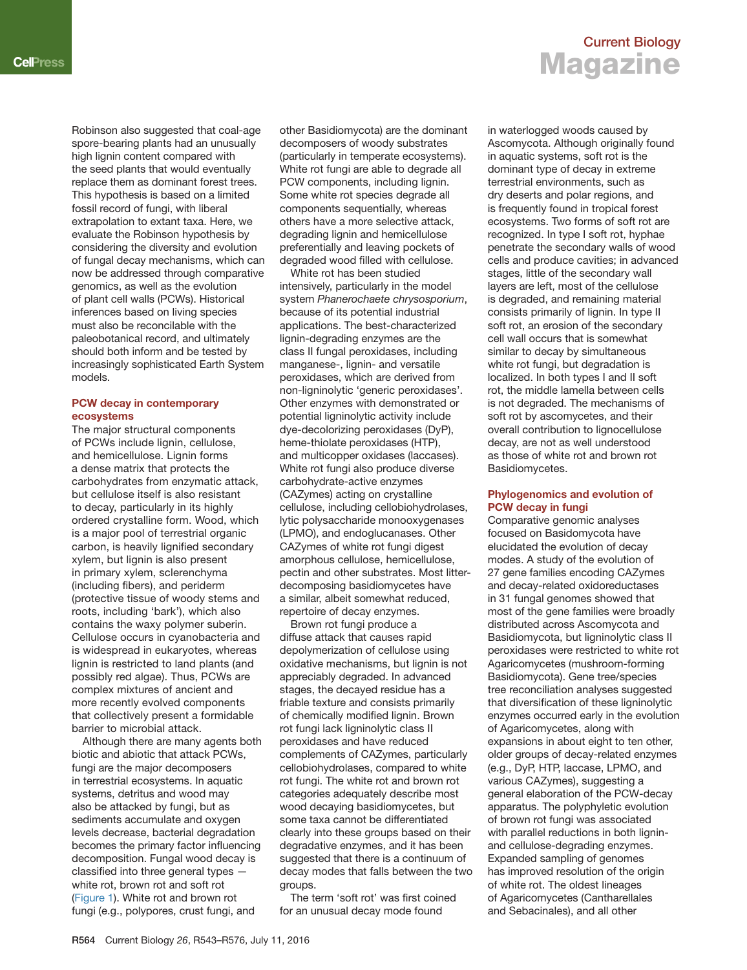Robinson also suggested that coal-age spore-bearing plants had an unusually high lignin content compared with the seed plants that would eventually replace them as dominant forest trees. This hypothesis is based on a limited fossil record of fungi, with liberal extrapolation to extant taxa. Here, we evaluate the Robinson hypothesis by considering the diversity and evolution of fungal decay mechanisms, which can now be addressed through comparative genomics, as well as the evolution of plant cell walls (PCWs). Historical inferences based on living species must also be reconcilable with the paleobotanical record, and ultimately should both inform and be tested by increasingly sophisticated Earth System models.

### **PCW decay in contemporary ecosystems**

The major structural components of PCWs include lignin, cellulose, and hemicellulose. Lignin forms a dense matrix that protects the carbohydrates from enzymatic attack, but cellulose itself is also resistant to decay, particularly in its highly ordered crystalline form. Wood, which is a major pool of terrestrial organic carbon, is heavily lignified secondary xylem, but lignin is also present in primary xylem, sclerenchyma (including fibers), and periderm (protective tissue of woody stems and roots, including 'bark'), which also contains the waxy polymer suberin. Cellulose occurs in cyanobacteria and is widespread in eukaryotes, whereas lignin is restricted to land plants (and possibly red algae). Thus, PCWs are complex mixtures of ancient and more recently evolved components that collectively present a formidable barrier to microbial attack.

Although there are many agents both biotic and abiotic that attack PCWs, fungi are the major decomposers in terrestrial ecosystems. In aquatic systems, detritus and wood may also be attacked by fungi, but as sediments accumulate and oxygen levels decrease, bacterial degradation becomes the primary factor influencing decomposition. Fungal wood decay is classified into three general types  $$ white rot, brown rot and soft rot ([Figure 1\)](#page-2-0). White rot and brown rot fungi (e.g., polypores, crust fungi, and

other Basidiomycota) are the dominant decomposers of woody substrates (particularly in temperate ecosystems). White rot fungi are able to degrade all PCW components, including lignin. Some white rot species degrade all components sequentially, whereas others have a more selective attack, degrading lignin and hemicellulose preferentially and leaving pockets of degraded wood filled with cellulose.

White rot has been studied intensively, particularly in the model system *Phanerochaete chrysosporium*, because of its potential industrial applications. The best-characterized lignin-degrading enzymes are the class II fungal peroxidases, including manganese-, lignin- and versatile peroxidases, which are derived from non-ligninolytic 'generic peroxidases'. Other enzymes with demonstrated or potential ligninolytic activity include dye-decolorizing peroxidases (DyP), heme-thiolate peroxidases (HTP), and multicopper oxidases (laccases). White rot fungi also produce diverse carbohydrate-active enzymes (CAZymes) acting on crystalline cellulose, including cellobiohydrolases, lytic polysaccharide monooxygenases (LPMO), and endoglucanases. Other CAZymes of white rot fungi digest amorphous cellulose, hemicellulose, pectin and other substrates. Most litterdecomposing basidiomycetes have a similar, albeit somewhat reduced, repertoire of decay enzymes.

Brown rot fungi produce a diffuse attack that causes rapid depolymerization of cellulose using oxidative mechanisms, but lignin is not appreciably degraded. In advanced stages, the decayed residue has a friable texture and consists primarily of chemically modified lignin. Brown rot fungi lack ligninolytic class II peroxidases and have reduced complements of CAZymes, particularly cellobiohydrolases, compared to white rot fungi. The white rot and brown rot categories adequately describe most wood decaying basidiomycetes, but some taxa cannot be differentiated clearly into these groups based on their degradative enzymes, and it has been suggested that there is a continuum of decay modes that falls between the two groups.

The term 'soft rot' was first coined for an unusual decay mode found

in waterlogged woods caused by Ascomycota. Although originally found in aquatic systems, soft rot is the dominant type of decay in extreme terrestrial environments, such as dry deserts and polar regions, and is frequently found in tropical forest ecosystems. Two forms of soft rot are recognized. In type I soft rot, hyphae penetrate the secondary walls of wood cells and produce cavities; in advanced stages, little of the secondary wall layers are left, most of the cellulose is degraded, and remaining material consists primarily of lignin. In type II soft rot, an erosion of the secondary cell wall occurs that is somewhat similar to decay by simultaneous white rot fungi, but degradation is localized. In both types I and II soft rot, the middle lamella between cells is not degraded. The mechanisms of soft rot by ascomycetes, and their overall contribution to lignocellulose decay, are not as well understood as those of white rot and brown rot Basidiomycetes.

#### **Phylogenomics and evolution of PCW decay in fungi**

Comparative genomic analyses focused on Basidomycota have elucidated the evolution of decay modes. A study of the evolution of 27 gene families encoding CAZymes and decay-related oxidoreductases in 31 fungal genomes showed that most of the gene families were broadly distributed across Ascomycota and Basidiomycota, but ligninolytic class II peroxidases were restricted to white rot Agaricomycetes (mushroom-forming Basidiomycota). Gene tree/species tree reconciliation analyses suggested that diversification of these ligninolytic enzymes occurred early in the evolution of Agaricomycetes, along with expansions in about eight to ten other, older groups of decay-related enzymes (e.g., DyP, HTP, laccase, LPMO, and various CAZymes), suggesting a general elaboration of the PCW-decay apparatus. The polyphyletic evolution of brown rot fungi was associated with parallel reductions in both ligninand cellulose-degrading enzymes. Expanded sampling of genomes has improved resolution of the origin of white rot. The oldest lineages of Agaricomycetes (Cantharellales and Sebacinales), and all other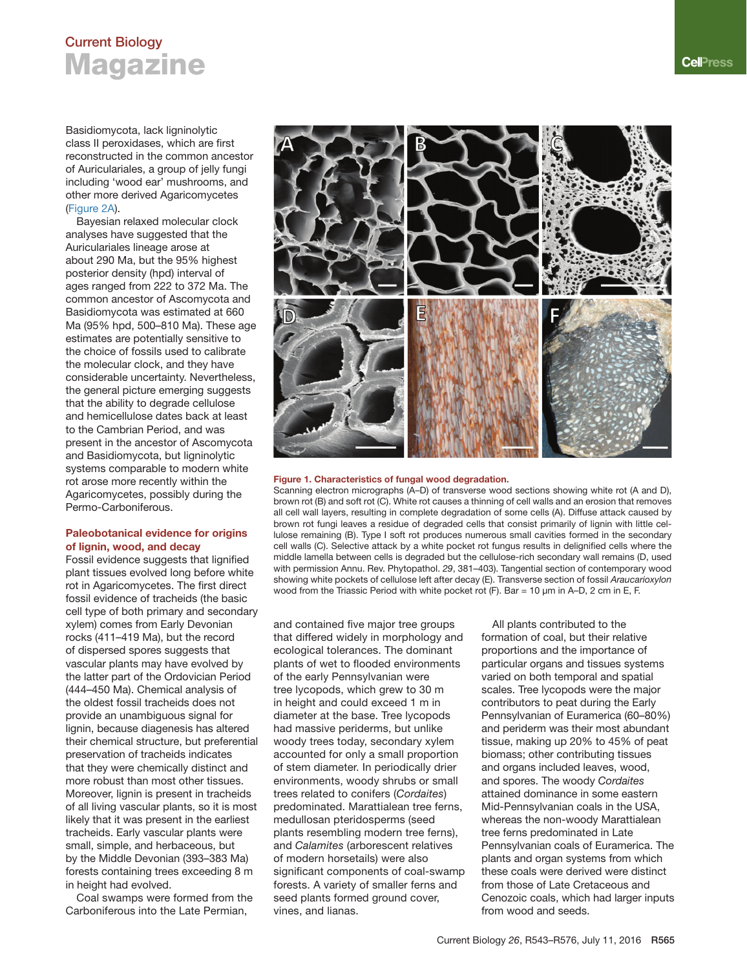<span id="page-2-0"></span>Basidiomycota, lack ligninolytic class II peroxidases, which are first reconstructed in the common ancestor of Auriculariales, a group of jelly fungi including 'wood ear' mushrooms, and other more derived Agaricomycetes [\(Figure 2A\)](#page-3-0).

Bayesian relaxed molecular clock analyses have suggested that the Auriculariales lineage arose at about 290 Ma, but the 95% highest posterior density (hpd) interval of ages ranged from 222 to 372 Ma. The common ancestor of Ascomycota and Basidiomycota was estimated at 660 Ma (95% hpd, 500–810 Ma). These age estimates are potentially sensitive to the choice of fossils used to calibrate the molecular clock, and they have considerable uncertainty. Nevertheless, the general picture emerging suggests that the ability to degrade cellulose and hemicellulose dates back at least to the Cambrian Period, and was present in the ancestor of Ascomycota and Basidiomycota, but ligninolytic systems comparable to modern white rot arose more recently within the Agaricomycetes, possibly during the Permo-Carboniferous.

### **Paleobotanical evidence for origins of lignin, wood, and decay**

Fossil evidence suggests that lignified plant tissues evolved long before white rot in Agaricomycetes. The first direct fossil evidence of tracheids (the basic cell type of both primary and secondary xylem) comes from Early Devonian rocks (411–419 Ma), but the record of dispersed spores suggests that vascular plants may have evolved by the latter part of the Ordovician Period (444–450 Ma). Chemical analysis of the oldest fossil tracheids does not provide an unambiguous signal for lignin, because diagenesis has altered their chemical structure, but preferential preservation of tracheids indicates that they were chemically distinct and more robust than most other tissues. Moreover, lignin is present in tracheids of all living vascular plants, so it is most likely that it was present in the earliest tracheids. Early vascular plants were small, simple, and herbaceous, but by the Middle Devonian (393–383 Ma) forests containing trees exceeding 8 m in height had evolved.

Coal swamps were formed from the Carboniferous into the Late Permian,



Scanning electron micrographs (A–D) of transverse wood sections showing white rot (A and D), brown rot (B) and soft rot (C). White rot causes a thinning of cell walls and an erosion that removes all cell wall layers, resulting in complete degradation of some cells (A). Diffuse attack caused by brown rot fungi leaves a residue of degraded cells that consist primarily of lignin with little cellulose remaining (B). Type I soft rot produces numerous small cavities formed in the secondary cell walls (C). Selective attack by a white pocket rot fungus results in delignified cells where the middle lamella between cells is degraded but the cellulose-rich secondary wall remains (D, used with permission Annu. Rev. Phytopathol. *29*, 381–403). Tangential section of contemporary wood showing white pockets of cellulose left after decay (E). Transverse section of fossil *Araucarioxylon* wood from the Triassic Period with white pocket rot  $(F)$ . Bar = 10  $\mu$ m in A–D, 2 cm in E, F.

and contained five major tree groups that differed widely in morphology and ecological tolerances. The dominant plants of wet to flooded environments of the early Pennsylvanian were tree lycopods, which grew to 30 m in height and could exceed 1 m in diameter at the base. Tree lycopods had massive periderms, but unlike woody trees today, secondary xylem accounted for only a small proportion of stem diameter. In periodically drier environments, woody shrubs or small trees related to conifers (*Cordaites*) predominated. Marattialean tree ferns, medullosan pteridosperms (seed plants resembling modern tree ferns), and *Calamites* (arborescent relatives of modern horsetails) were also significant components of coal-swamp forests. A variety of smaller ferns and seed plants formed ground cover, vines, and lianas.

All plants contributed to the formation of coal, but their relative proportions and the importance of particular organs and tissues systems varied on both temporal and spatial scales. Tree lycopods were the major contributors to peat during the Early Pennsylvanian of Euramerica (60–80%) and periderm was their most abundant tissue, making up 20% to 45% of peat biomass; other contributing tissues and organs included leaves, wood, and spores. The woody *Cordaites* attained dominance in some eastern Mid-Pennsylvanian coals in the USA, whereas the non-woody Marattialean tree ferns predominated in Late Pennsylvanian coals of Euramerica. The plants and organ systems from which these coals were derived were distinct from those of Late Cretaceous and Cenozoic coals, which had larger inputs from wood and seeds.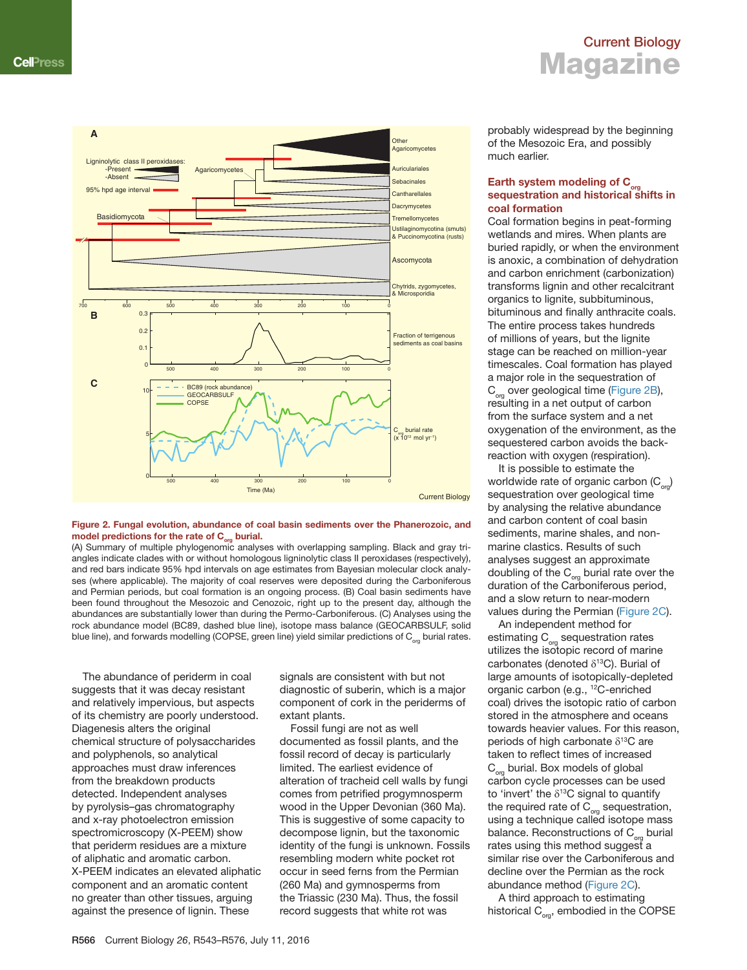<span id="page-3-0"></span>

probably widespread by the beginning of the Mesozoic Era, and possibly much earlier.

#### **Earth system modeling of C<sub>org</sub> sequestration and historical shifts in coal formation**

Coal formation begins in peat-forming wetlands and mires. When plants are buried rapidly, or when the environment is anoxic, a combination of dehydration and carbon enrichment (carbonization) transforms lignin and other recalcitrant organics to lignite, subbituminous, bituminous and finally anthracite coals. The entire process takes hundreds of millions of years, but the lignite stage can be reached on million-year timescales. Coal formation has played a major role in the sequestration of  $C_{\text{ora}}$  over geological time (Figure 2B), resulting in a net output of carbon from the surface system and a net oxygenation of the environment, as the sequestered carbon avoids the backreaction with oxygen (respiration).

It is possible to estimate the worldwide rate of organic carbon  $(C_{\text{or}})$ sequestration over geological time by analysing the relative abundance and carbon content of coal basin sediments, marine shales, and nonmarine clastics. Results of such analyses suggest an approximate doubling of the  $C_{\text{om}}$  burial rate over the duration of the Carboniferous period, and a slow return to near-modern values during the Permian (Figure 2C).

An independent method for estimating  $C_{\text{ora}}$  sequestration rates utilizes the isotopic record of marine carbonates (denoted  $\delta^{13}$ C). Burial of large amounts of isotopically-depleted organic carbon (e.g., <sup>12</sup>C-enriched coal) drives the isotopic ratio of carbon stored in the atmosphere and oceans towards heavier values. For this reason, periods of high carbonate  $\delta^{13}$ C are taken to reflect times of increased  $C_{\text{org}}$  burial. Box models of global carbon cycle processes can be used to 'invert' the  $\delta^{13}$ C signal to quantify the required rate of C<sub>org</sub> sequestration, using a technique called isotope mass balance. Reconstructions of  $C_{_{org}}$  burial rates using this method suggest a similar rise over the Carboniferous and decline over the Permian as the rock abundance method (Figure 2C).

A third approach to estimating historical  $C_{org}$ , embodied in the COPSE

#### **Figure 2. Fungal evolution, abundance of coal basin sediments over the Phanerozoic, and**  model predictions for the rate of C<sub>org</sub> burial.

(A) Summary of multiple phylogenomic analyses with overlapping sampling. Black and gray triangles indicate clades with or without homologous ligninolytic class II peroxidases (respectively), and red bars indicate 95% hpd intervals on age estimates from Bayesian molecular clock analyses (where applicable). The majority of coal reserves were deposited during the Carboniferous and Permian periods, but coal formation is an ongoing process. (B) Coal basin sediments have been found throughout the Mesozoic and Cenozoic, right up to the present day, although the abundances are substantially lower than during the Permo-Carboniferous. (C) Analyses using the rock abundance model (BC89, dashed blue line), isotope mass balance (GEOCARBSULF, solid blue line), and forwards modelling (COPSE, green line) yield similar predictions of  $C_{\text{on}}$  burial rates.

The abundance of periderm in coal suggests that it was decay resistant and relatively impervious, but aspects of its chemistry are poorly understood. Diagenesis alters the original chemical structure of polysaccharides and polyphenols, so analytical approaches must draw inferences from the breakdown products detected. Independent analyses by pyrolysis–gas chromatography and x-ray photoelectron emission spectromicroscopy (X-PEEM) show that periderm residues are a mixture of aliphatic and aromatic carbon. X-PEEM indicates an elevated aliphatic component and an aromatic content no greater than other tissues, arguing against the presence of lignin. These

signals are consistent with but not diagnostic of suberin, which is a major component of cork in the periderms of extant plants.

Fossil fungi are not as well documented as fossil plants, and the fossil record of decay is particularly limited. The earliest evidence of alteration of tracheid cell walls by fungi comes from petrified progymnosperm wood in the Upper Devonian (360 Ma). This is suggestive of some capacity to decompose lignin, but the taxonomic identity of the fungi is unknown. Fossils resembling modern white pocket rot occur in seed ferns from the Permian (260 Ma) and gymnosperms from the Triassic (230 Ma). Thus, the fossil record suggests that white rot was